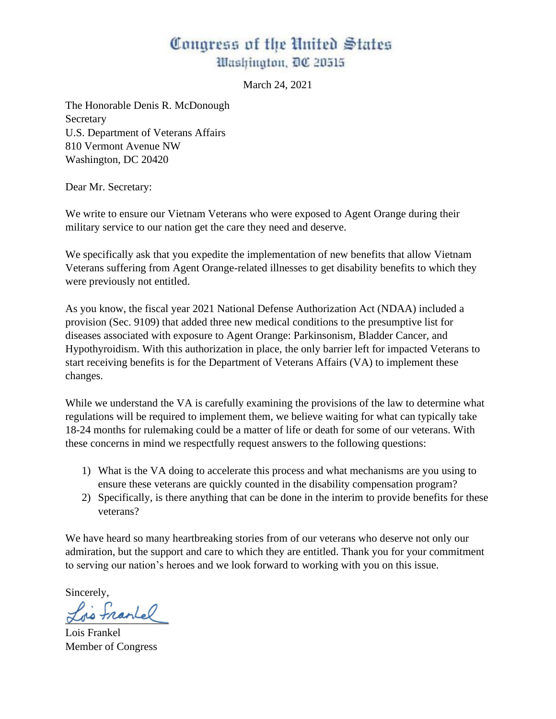# Congress of the United States Washington, DC 20515

March 24, 2021

The Honorable Denis R. McDonough Secretary U.S. Department of Veterans Affairs 810 Vermont Avenue NW Washington, DC 20420

Dear Mr. Secretary:

We write to ensure our Vietnam Veterans who were exposed to Agent Orange during their military service to our nation get the care they need and deserve.

We specifically ask that you expedite the implementation of new benefits that allow Vietnam Veterans suffering from Agent Orange-related illnesses to get disability benefits to which they were previously not entitled.

As you know, the fiscal year 2021 National Defense Authorization Act (NDAA) included a provision (Sec. 9109) that added three new medical conditions to the presumptive list for diseases associated with exposure to Agent Orange: Parkinsonism, Bladder Cancer, and Hypothyroidism. With this authorization in place, the only barrier left for impacted Veterans to start receiving benefits is for the Department of Veterans Affairs (VA) to implement these changes.

While we understand the VA is carefully examining the provisions of the law to determine what regulations will be required to implement them, we believe waiting for what can typically take 18-24 months for rulemaking could be a matter of life or death for some of our veterans. With these concerns in mind we respectfully request answers to the following questions:

- 1) What is the VA doing to accelerate this process and what mechanisms are you using to ensure these veterans are quickly counted in the disability compensation program?
- 2) Specifically, is there anything that can be done in the interim to provide benefits for these veterans?

We have heard so many heartbreaking stories from of our veterans who deserve not only our admiration, but the support and care to which they are entitled. Thank you for your commitment to serving our nation's heroes and we look forward to working with you on this issue.

Sincerely,

\_\_\_\_\_\_\_\_\_\_\_\_\_\_\_\_\_\_\_

Lois Frankel Member of Congress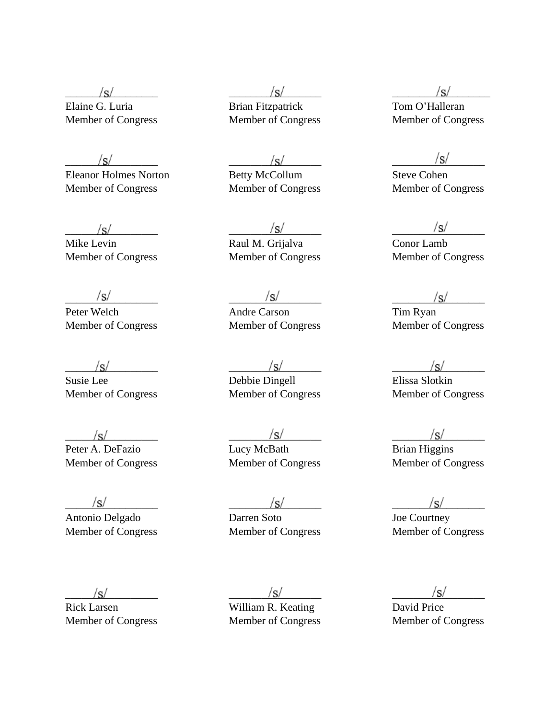Eleanor Holmes Norton Betty McCollum Steve Cohen Member of Congress Member of Congress Member of Congress

Member of Congress Member of Congress Member of Congress

Member of Congress Member of Congress Member of Congress

 $\sqrt{s}$  and  $\sqrt{s}$  and  $\sqrt{s}$  and  $\sqrt{s}$  and  $\sqrt{s}$  and  $\sqrt{s}$  and  $\sqrt{s}$  and  $\sqrt{s}$ Peter A. DeFazio **Lucy McBath** Brian Higgins

Antonio Delgado Darren Soto

 $\sqrt{s}$   $\sqrt{s}$ Elaine G. Luria Brian Fitzpatrick Tom O'Halleran

 $\frac{|S|}{|S|}$  r Holmes Norton Betty McCollum Steve Cohen

 $\frac{|S|}{|S|}$   $\frac{|S|}{|S|}$   $\frac{|S|}{|S|}$   $\frac{|S|}{|S|}$   $\frac{|S|}{|S|}$   $\frac{|S|}{|S|}$   $\frac{|S|}{|S|}$   $\frac{|S|}{|S|}$   $\frac{|S|}{|S|}$   $\frac{|S|}{|S|}$   $\frac{|S|}{|S|}$   $\frac{|S|}{|S|}$   $\frac{|S|}{|S|}$   $\frac{|S|}{|S|}$   $\frac{|S|}{|S|}$   $\frac{|S|}{|S|}$   $\frac{|S|}{|S|}$  Mike Levin Raul M. Grijalva

 $\frac{|S|}{\sqrt{S}}$  and  $\frac{|S|}{\sqrt{S}}$  and  $\frac{|S|}{\sqrt{S}}$  and  $\frac{|S|}{\sqrt{S}}$  and  $\frac{|S|}{\sqrt{S}}$  and  $\frac{|S|}{\sqrt{S}}$  and  $\frac{|S|}{\sqrt{S}}$  and  $\frac{|S|}{\sqrt{S}}$  and  $\frac{|S|}{\sqrt{S}}$  and  $\frac{|S|}{\sqrt{S}}$  and  $\frac{|S|}{\sqrt{S}}$  and  $\frac{|S|}{\sqrt{S}}$  and  $\frac{|S$ Peter Welch Andre Carson Tim Ryan<br>
Member of Congress Member of Congress Member of Congress

 $\sqrt{s}}$  ,  $\sqrt{s}$  ,  $\sqrt{s}$  ,  $\sqrt{s}$  ,  $\sqrt{s}$  ,  $\sqrt{s}$  ,  $\sqrt{s}$  ,  $\sqrt{s}$  ,  $\sqrt{s}$  ,  $\sqrt{s}$  ,  $\sqrt{s}$  ,  $\sqrt{s}$  ,  $\sqrt{s}$  ,  $\sqrt{s}$  ,  $\sqrt{s}$  ,  $\sqrt{s}$  ,  $\sqrt{s}$  ,  $\sqrt{s}$  ,  $\sqrt{s}$  ,  $\sqrt{s}$  ,  $\sqrt{s}$  ,  $\sqrt{s}$  ,  $\sqrt{s}$  ,  $\sqrt{s}$  ,  $\sqrt{s}$ Susie Lee **Debbie Dingell** Elissa Slotkin Member of Congress Member of Congress Member of Congress

Member of Congress Member of Congress Member of Congress

 $\frac{|S|}{\text{Diagonal}}$   $\frac{|S|}{\text{Darren Soto}}$   $\frac{|S|}{\text{Joe Courthey}}$ Member of Congress Member of Congress Member of Congress

Member of Congress Member of Congress Member of Congress

 $\sqrt{s}}/s$ 

Rick Larsen William R. Keating David Price Member of Congress Member of Congress Member of Congress